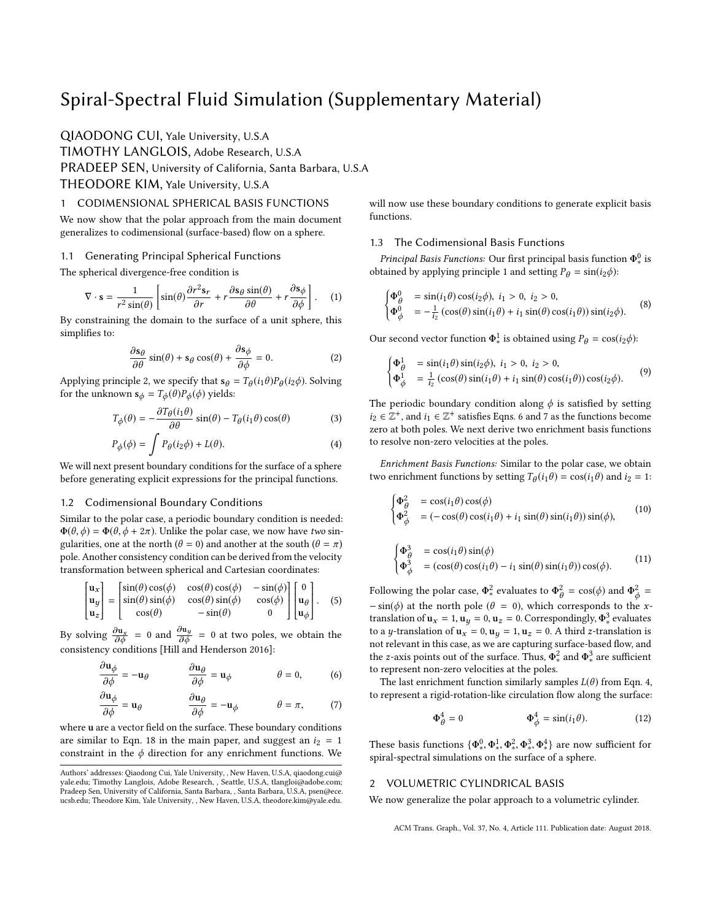# Spiral-Spectral Fluid Simulation (Supplementary Material)

# QIAODONG CUI, Yale University, U.S.A

TIMOTHY LANGLOIS, Adobe Research, U.S.A

PRADEEP SEN, University of California, Santa Barbara, U.S.A

THEODORE KIM, Yale University, U.S.A

## 1 CODIMENSIONAL SPHERICAL BASIS FUNCTIONS

We now show that the polar approach from the main document generalizes to codimensional (surface-based) flow on a sphere.

#### 1.1 Generating Principal Spherical Functions

The spherical divergence-free condition is

$$
\nabla \cdot \mathbf{s} = \frac{1}{r^2 \sin(\theta)} \left[ \sin(\theta) \frac{\partial r^2 \mathbf{s}_r}{\partial r} + r \frac{\partial \mathbf{s}_\theta \sin(\theta)}{\partial \theta} + r \frac{\partial \mathbf{s}_\phi}{\partial \phi} \right].
$$
 (1)  
By constraining the domain to the surface of a unit sphere, this

simplifies to:

$$
\frac{\partial \mathbf{s}_{\theta}}{\partial \theta} \sin(\theta) + \mathbf{s}_{\theta} \cos(\theta) + \frac{\partial \mathbf{s}_{\phi}}{\partial \phi} = 0.
$$
 (2)

Applying principle 2, we specify that  $s_{\theta} = T_{\theta}(i_1\theta)P_{\theta}(i_2\phi)$ . Solving for the unknown  $s_{\theta} = T_{\theta}(i_1\theta)P_{\theta}(i_2\phi)$ for the unknown  $\mathbf{s}_{\phi} = T_{\phi}(\theta) P_{\phi}(\phi)$  yields:

$$
T_{\phi}(\theta) = -\frac{\partial T_{\theta}(i_1 \theta)}{\partial \theta} \sin(\theta) - T_{\theta}(i_1 \theta) \cos(\theta)
$$
 (3)

$$
P_{\phi}(\phi) = \int P_{\theta}(i_2 \phi) + L(\theta). \tag{4}
$$

We will next present boundary conditions for the surface of a sphere before generating explicit expressions for the principal functions.

## 1.2 Codimensional Boundary Conditions

Similar to the polar case, a periodic boundary condition is needed:  $\Phi(\theta, \phi) = \Phi(\theta, \phi + 2\pi)$ . Unlike the polar case, we now have two singularities, one at the north ( $\theta = 0$ ) and another at the south ( $\theta = \pi$ ) pole. Another consistency condition can be derived from the velocity transformation between spherical and Cartesian coordinates:

$$
\begin{bmatrix} \mathbf{u}_x \\ \mathbf{u}_y \\ \mathbf{u}_z \end{bmatrix} = \begin{bmatrix} \sin(\theta)\cos(\phi) & \cos(\theta)\cos(\phi) & -\sin(\phi) \\ \sin(\theta)\sin(\phi) & \cos(\theta)\sin(\phi) & \cos(\phi) \\ \cos(\theta) & -\sin(\theta) & 0 \end{bmatrix} \begin{bmatrix} 0 \\ \mathbf{u}_\theta \\ \mathbf{u}_\phi \end{bmatrix} . \quad (5)
$$

 $\begin{bmatrix} \mathbf{u}_z \end{bmatrix}$   $\begin{bmatrix} \cos(\theta) & -\sin(\theta) & 0 \end{bmatrix} \begin{bmatrix} \mathbf{u}_{\phi} \end{bmatrix}$ <br>By solving  $\frac{\partial \mathbf{u}_x}{\partial \phi} = 0$  and  $\frac{\partial \mathbf{u}_y}{\partial \phi} = 0$  at two poles, we obtain the consistency conditions [\[Hill and Henderson 2016\]](#page-7-0):

$$
\frac{\partial \mathbf{u}_{\phi}}{\partial \phi} = -\mathbf{u}_{\theta} \qquad \qquad \frac{\partial \mathbf{u}_{\theta}}{\partial \phi} = \mathbf{u}_{\phi} \qquad \qquad \theta = 0, \qquad (6)
$$

$$
\frac{\partial \mathbf{u}_{\phi}}{\partial \phi} = \mathbf{u}_{\theta} \qquad \qquad \frac{\partial \mathbf{u}_{\theta}}{\partial \phi} = -\mathbf{u}_{\phi} \qquad \qquad \theta = \pi, \qquad (7)
$$

∂ϕ ∂ϕ where u are a vector field on the surface. These boundary conditions are similar to Eqn. 18 in the main paper, and suggest an  $i_2 = 1$ constraint in the  $\phi$  direction for any enrichment functions. We will now use these boundary conditions to generate explicit basis functions.

## 1.3 The Codimensional Basis Functions

*Principal Basis Functions:* Our first principal basis function  $\Phi^0_*$  is obtained by applying principle 1 and setting  $P_{\theta} = \sin(i_2\phi)$ :

$$
\begin{cases}\n\Phi_{\theta}^{0} = \sin(i_{1}\theta)\cos(i_{2}\phi), \ i_{1} > 0, \ i_{2} > 0, \\
\Phi_{\phi}^{0} = -\frac{1}{i_{2}}\left(\cos(\theta)\sin(i_{1}\theta) + i_{1}\sin(\theta)\cos(i_{1}\theta)\right)\sin(i_{2}\phi).\n\end{cases}
$$
\n(8)

Our second vector function  $\Phi^1_*$  is obtained using  $P_\theta = \cos(i_2\phi)$ :

<span id="page-0-3"></span>
$$
\begin{cases}\n\Phi_{\theta}^{1} = \sin(i_{1}\theta)\sin(i_{2}\phi), \ i_{1} > 0, \ i_{2} > 0, \\
\Phi_{\phi}^{1} = \frac{1}{i_{2}}\left(\cos(\theta)\sin(i_{1}\theta) + i_{1}\sin(\theta)\cos(i_{1}\theta)\right)\cos(i_{2}\phi).\n\end{cases}
$$
\n(9)

The periodic boundary condition along  $\phi$  is satisfied by setting  $i_2 \in \mathbb{Z}^+$ , and  $i_1 \in \mathbb{Z}^+$  satisfies Eqns. [6](#page-0-0) and [7](#page-0-1) as the functions become<br>zero at both poles. We next derive two enrichment basis functions zero at both poles. We next derive two enrichment basis functions to resolve non-zero velocities at the poles.

<span id="page-0-2"></span>Enrichment Basis Functions: Similar to the polar case, we obtain two enrichment functions by setting  $T_{\theta}(i_1 \theta) = \cos(i_1 \theta)$  and  $i_2 = 1$ :

$$
\begin{cases}\n\Phi_{\theta}^{2} = \cos(i_{1}\theta)\cos(\phi) \\
\Phi_{\phi}^{2} = (-\cos(\theta)\cos(i_{1}\theta) + i_{1}\sin(\theta)\sin(i_{1}\theta))\sin(\phi),\n\end{cases}
$$
\n(10)

$$
\begin{cases}\n\Phi_{\theta}^{3} = \cos(i_{1}\theta)\sin(\phi) \\
\Phi_{\phi}^{3} = (\cos(\theta)\cos(i_{1}\theta) - i_{1}\sin(\theta)\sin(i_{1}\theta))\cos(\phi).\n\end{cases}
$$
\n(11)

Following the polar case,  $\Phi_{\theta}^2$  evaluates to  $\Phi_{\theta}^2 = \cos(\phi)$  and  $\Phi_{\phi}^2 =$  $-\sin(\phi)$  at the north pole ( $\theta = 0$ ), which corresponds to the x-<br>translation of  $\mu = 1$ ,  $\mu = 0$ ,  $\mu = 0$  Correspondingly  $\Phi^3$  evaluates translation of  $u_x = 1$ ,  $u_y = 0$ ,  $u_z = 0$ . Correspondingly,  $\Phi_x^3$  evaluates<br>to a *u*-translation of  $u_x = 0$ ,  $u_y = 1$ ,  $u_y = 0$ , A third z-translation is to a y-translation of  $u_x = 0$ ,  $u_y = 1$ ,  $u_z = 0$ . A third z-translation is not relevant in this case, as we are capturing surface-based flow, and the z-axis points out of the surface. Thus,  $\Phi_*^2$  and  $\Phi_*^3$  are sufficient<br>to represent non-zero velocities at the poles to represent non-zero velocities at the poles.

<span id="page-0-1"></span><span id="page-0-0"></span>The last enrichment function similarly samples  $L(\theta)$  from Eqn. [4,](#page-0-2) to represent a rigid-rotation-like circulation flow along the surface:

$$
\Phi_{\theta}^{4} = 0 \qquad \qquad \Phi_{\phi}^{4} = \sin(i_{1}\theta). \qquad (12)
$$

These basis functions  $\{\Phi_+^0, \Phi_+^1, \Phi_+^2, \Phi_+^3, \Phi_+^4\}$  are now sufficient for eximal-enectral simulations on the surface of a sphere spiral-spectral simulations on the surface of a sphere.

## 2 VOLUMETRIC CYLINDRICAL BASIS

We now generalize the polar approach to a volumetric cylinder.

Authors' addresses: Qiaodong Cui, Yale University, , New Haven, U.S.A, qiaodong.cui@ yale.edu; Timothy Langlois, Adobe Research, , Seattle, U.S.A, tlangloi@adobe.com; Pradeep Sen, University of California, Santa Barbara, , Santa Barbara, U.S.A, psen@ece. ucsb.edu; Theodore Kim, Yale University, , New Haven, U.S.A, theodore.kim@yale.edu.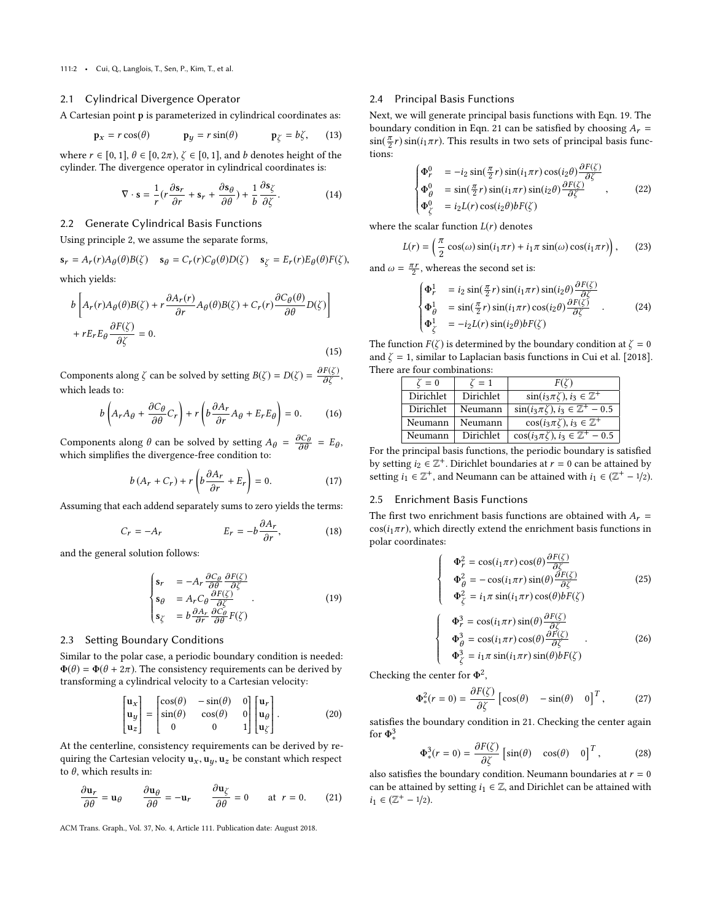#### 2.1 Cylindrical Divergence Operator

A Cartesian point p is parameterized in cylindrical coordinates as:

$$
\mathbf{p}_x = r \cos(\theta) \qquad \mathbf{p}_y = r \sin(\theta) \qquad \mathbf{p}_\zeta = b\zeta, \qquad (13)
$$

where  $r \in [0, 1]$ ,  $\theta \in [0, 2\pi)$ ,  $\zeta \in [0, 1]$ , and b denotes height of the cylinder. The divergence operator in cylindrical coordinates is:

$$
\nabla \cdot \mathbf{s} = \frac{1}{r} (r \frac{\partial \mathbf{s}_r}{\partial r} + \mathbf{s}_r + \frac{\partial \mathbf{s}_\theta}{\partial \theta}) + \frac{1}{b} \frac{\partial \mathbf{s}_\zeta}{\partial \zeta}.
$$
 (14)

# 2.2 Generate Cylindrical Basis Functions

Using principle 2, we assume the separate forms,

$$
\mathbf{s}_r = A_r(r)A_\theta(\theta)B(\zeta) \quad \mathbf{s}_\theta = C_r(r)C_\theta(\theta)D(\zeta) \quad \mathbf{s}_\zeta = E_r(r)E_\theta(\theta)F(\zeta),
$$
\nwhich yields:

which yields:

<span id="page-1-2"></span>
$$
b\left[A_r(r)A_\theta(\theta)B(\zeta) + r\frac{\partial A_r(r)}{\partial r}A_\theta(\theta)B(\zeta) + C_r(r)\frac{\partial C_\theta(\theta)}{\partial \theta}D(\zeta)\right] + rE_rE_\theta\frac{\partial F(\zeta)}{\partial \zeta} = 0.
$$
\n(15)

Components along  $\zeta$  can be solved by setting  $B(\zeta) = D(\zeta) = \frac{\partial F(\zeta)}{\partial \zeta}$ ∂ζ , which leads to:

$$
b\left(A_r A_\theta + \frac{\partial C_\theta}{\partial \theta} C_r\right) + r\left(b\frac{\partial A_r}{\partial r} A_\theta + E_r E_\theta\right) = 0. \tag{16}
$$

Components along  $\theta$  can be solved by setting  $A_{\theta} = \frac{\partial C_{\theta}}{\partial \theta} = E_{\theta}$ , which simplifies the divergence-free condition to:

$$
b\left(A_r + C_r\right) + r\left(b\frac{\partial A_r}{\partial r} + E_r\right) = 0.
$$
 (17)

Assuming that each addend separately sums to zero yields the terms:

$$
C_r = -A_r \qquad \qquad E_r = -b \frac{\partial A_r}{\partial r}, \qquad (18)
$$

and the general solution follows:

<span id="page-1-0"></span>
$$
\begin{cases}\n\mathbf{s}_r &= -A_r \frac{\partial C_\theta}{\partial \theta} \frac{\partial F(\zeta)}{\partial \zeta} \\
\mathbf{s}_\theta &= A_r C_\theta \frac{\partial F(\zeta)}{\partial \zeta} \\
\mathbf{s}_\zeta &= b \frac{\partial A_r}{\partial r} \frac{\partial C_\theta}{\partial \theta} F(\zeta)\n\end{cases} \tag{19}
$$

#### 2.3 Setting Boundary Conditions

Similar to the polar case, a periodic boundary condition is needed:  $Φ(θ) = Φ(θ + 2π)$ . The consistency requirements can be derived by transforming a cylindrical velocity to a Cartesian velocity:

$$
\begin{bmatrix} \mathbf{u}_x \\ \mathbf{u}_y \\ \mathbf{u}_z \end{bmatrix} = \begin{bmatrix} \cos(\theta) & -\sin(\theta) & 0 \\ \sin(\theta) & \cos(\theta) & 0 \\ 0 & 0 & 1 \end{bmatrix} \begin{bmatrix} \mathbf{u}_r \\ \mathbf{u}_\theta \\ \mathbf{u}_\zeta \end{bmatrix} . \tag{20}
$$

 At the centerline, consistency requirements can be derived by requiring the Cartesian velocity  $\mathbf{u}_x$ ,  $\mathbf{u}_y$ ,  $\mathbf{u}_z$  be constant which respect to  $\theta$ , which results in:

$$
\frac{\partial \mathbf{u}_r}{\partial \theta} = \mathbf{u}_\theta \qquad \frac{\partial \mathbf{u}_\theta}{\partial \theta} = -\mathbf{u}_r \qquad \frac{\partial \mathbf{u}_\zeta}{\partial \theta} = 0 \qquad \text{at } r = 0. \tag{21}
$$

ACM Trans. Graph., Vol. 37, No. 4, Article 111. Publication date: August 2018.

## 2.4 Principal Basis Functions

Next, we will generate principal basis functions with Eqn. [19.](#page-1-0) The boundary condition in Eqn. [21](#page-1-1) can be satisfied by choosing  $A_r =$  $\sin(\frac{\pi}{2}r)\sin(i_1\pi r)$ . This results in two sets of principal basis functions:  $\Omega_{B}$ 

$$
\begin{cases}\n\Phi_r^0 = -i_2 \sin(\frac{\pi}{2}r) \sin(i_1 \pi r) \cos(i_2 \theta) \frac{\partial F(\zeta)}{\partial \zeta} \\
\Phi_\theta^0 = \sin(\frac{\pi}{2}r) \sin(i_1 \pi r) \sin(i_2 \theta) \frac{\partial F(\zeta)}{\partial \zeta} \\
\Phi_\zeta^0 = i_2 L(r) \cos(i_2 \theta) b F(\zeta)\n\end{cases}
$$
\n(22)

where the scalar function  $L(r)$  denotes

$$
L(r) = \left(\frac{\pi}{2}\cos(\omega)\sin(i_1\pi r) + i_1\pi\sin(\omega)\cos(i_1\pi r)\right),\qquad(23)
$$

and  $\omega = \frac{\pi r}{2}$ , whereas the second set is:

$$
\begin{cases}\n\Phi_r^1 = i_2 \sin(\frac{\pi}{2}r) \sin(i_1 \pi r) \sin(i_2 \theta) \frac{\partial F(\zeta)}{\partial \zeta} \\
\Phi_\theta^1 = \sin(\frac{\pi}{2}r) \sin(i_1 \pi r) \cos(i_2 \theta) \frac{\partial F(\zeta)}{\partial \zeta} \\
\Phi_\zeta^1 = -i_2 L(r) \sin(i_2 \theta) b F(\zeta)\n\end{cases}
$$
\n(24)

The function  $F(\zeta)$  is determined by the boundary condition at  $\zeta = 0$ <br>and  $\zeta = 1$  similar to Laplacian basis functions in Gui et al. [2018] and  $\zeta = 1$ , similar to Laplacian basis functions in [Cui et al.](#page-7-1) [\[2018\]](#page-7-1). There are four combinations:

|                                                                       | $\zeta=0$ | $\zeta = 1$ | $F(\zeta)$                                        |  |
|-----------------------------------------------------------------------|-----------|-------------|---------------------------------------------------|--|
|                                                                       | Dirichlet | Dirichlet   | $\sin(i_3\pi\zeta), i_3 \in \mathbb{Z}^+$         |  |
|                                                                       | Dirichlet | Neumann     | $\sin(i_3 \pi \zeta), i_3 \in \mathbb{Z}^+ - 0.5$ |  |
|                                                                       | Neumann   | Neumann     | $\cos(i_3\pi\zeta), i_3 \in \mathbb{Z}^+$         |  |
|                                                                       | Neumann   | Dirichlet   | $\cos(i_3\pi\zeta), i_3 \in \mathbb{Z}^+ - 0.5$   |  |
| For the principal basis functions, the periodic boundary is satisfied |           |             |                                                   |  |

by setting  $i_2 \in \mathbb{Z}^+$ . Dirichlet boundaries at  $r = 0$  can be attained by setting  $i_1 \in \mathbb{Z}^+$  and Neumann can be attained with  $i_1 \in (\mathbb{Z}^+ - 1/\gamma)$ . setting  $i_1 \in \mathbb{Z}^+$ , and Neumann can be attained with  $i_1 \in (\mathbb{Z}^+ - 1/2)$ .

## 2.5 Enrichment Basis Functions

 $\Bigg\}$ 

 $\overline{\mathcal{L}}$ Ĵ

 $\Bigg\}$ 

 $\overline{\mathcal{L}}$ 

The first two enrichment basis functions are obtained with  $A_r =$  $cos(i_1\pi r)$ , which directly extend the enrichment basis functions in polar coordinates:

$$
\Phi_r^2 = \cos(i_1 \pi r) \cos(\theta) \frac{\partial F(\zeta)}{\partial \zeta}
$$
  
\n
$$
\Phi_\theta^2 = -\cos(i_1 \pi r) \sin(\theta) \frac{\partial F(\zeta)}{\partial \zeta}
$$
  
\n
$$
\Phi_\zeta^2 = i_1 \pi \sin(i_1 \pi r) \cos(\theta) bF(\zeta)
$$
\n(25)

$$
\Phi_r^3 = \cos(i_1 \pi r) \sin(\theta) \frac{\partial F(\zeta)}{\partial \zeta}
$$
  
\n
$$
\Phi_\theta^3 = \cos(i_1 \pi r) \cos(\theta) \frac{\partial F(\zeta)}{\partial \zeta}
$$
  
\n
$$
\Phi_\zeta^3 = i_1 \pi \sin(i_1 \pi r) \sin(\theta) bF(\zeta)
$$
\n(26)

Checking the center for  $\Phi^2$ ,

$$
\Phi_*^2(r=0) = \frac{\partial F(\zeta)}{\partial \zeta} \left[ \cos(\theta) - \sin(\theta) \quad 0 \right]^T, \tag{27}
$$

∂ζ satisfies the boundary condition in [21.](#page-1-1) Checking the center again for  $\Phi^3_*$ 

$$
\Phi_*^3(r=0) = \frac{\partial F(\zeta)}{\partial \zeta} \left[ \sin(\theta) \cos(\theta) \quad 0 \right]^T, \tag{28}
$$

<span id="page-1-1"></span>also satisfies the boundary condition. Neumann boundaries at  $r = 0$ <br>can be attained by setting i.  $\in \mathbb{Z}$  and Dirichlet can be attained with can be attained by setting  $i_1 \in \mathbb{Z}$ , and Dirichlet can be attained with  $i_1 \in (\mathbb{Z}^+ - 1/2).$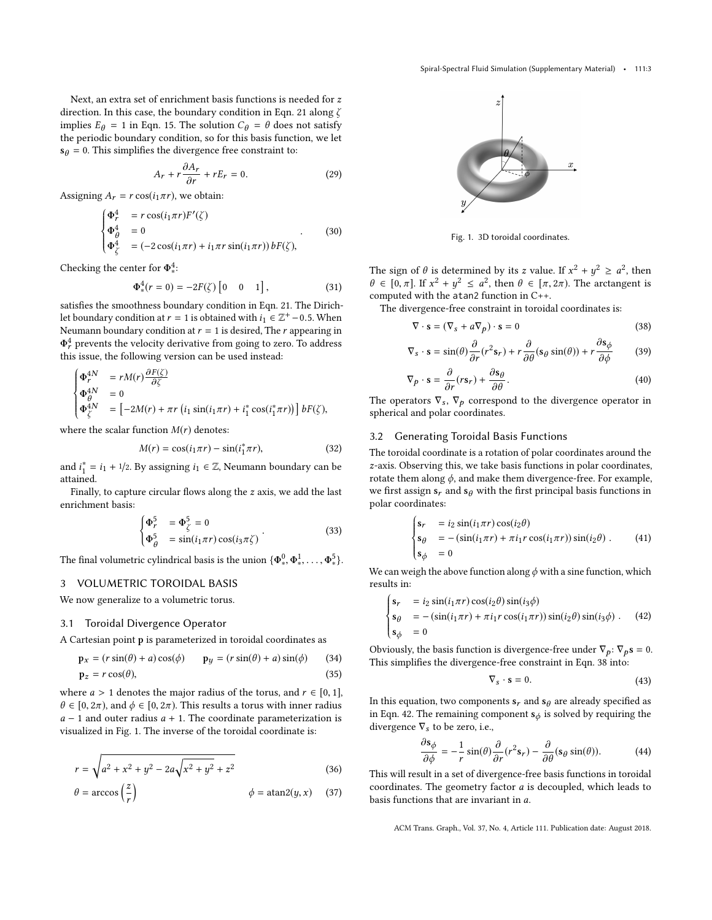Next, an extra set of enrichment basis functions is needed for z direction. In this case, the boundary condition in Eqn. [21](#page-1-1) along  $\zeta$ implies  $E_\theta = 1$  in Eqn. [15.](#page-1-2) The solution  $C_\theta = \theta$  does not satisfy the periodic boundary condition, so for this basis function, we let  $s_{\theta} = 0$ . This simplifies the divergence free constraint to:

$$
A_r + r\frac{\partial A_r}{\partial r} + rE_r = 0.
$$
 (29)

Assigning  $A_r = r \cos(i_1 \pi r)$ , we obtain:

$$
\begin{cases}\n\Phi_T^4 &= r \cos(i_1 \pi r) F'(\zeta) \\
\Phi_\theta^4 &= 0 \\
\Phi_\zeta^4 &= (-2 \cos(i_1 \pi r) + i_1 \pi r \sin(i_1 \pi r)) bF(\zeta),\n\end{cases}
$$
\n(30)

Checking the center for  $\Phi^4_*$ :

$$
\Phi_*^4(r=0) = -2F(\zeta) [0 \quad 0 \quad 1], \tag{31}
$$

satisfies the smoothness boundary condition in Eqn. [21.](#page-1-1) The Dirichlet boundary condition at  $r = 1$  is obtained with  $i_1 \in \mathbb{Z}^+$  – 0.5. When<br>Neumann boundary condition at  $r = 1$  is desired. The rannearing in Neumann boundary condition at  $r = 1$  is desired, The r appearing in  $\Phi_r^4$  prevents the velocity derivative from going to zero. To address<br>this issue, the following version can be used instead: this issue, the following version can be used instead:

$$
\begin{cases} \Phi_r^{4N} &= r M(r) \frac{\partial F(\zeta)}{\partial \zeta} \\ \Phi_\theta^{4N} &= 0 \\ \Phi_\zeta^{4N} &= \left[ -2M(r) + \pi r \left( i_1 \sin(i_1 \pi r) + i_1^* \cos(i_1^* \pi r) \right) \right] b F(\zeta), \end{cases}
$$

where the scalar function  $M(r)$  denotes:

$$
M(r) = \cos(i_1 \pi r) - \sin(i_1^* \pi r),
$$
 (32)

and  $i_1^* = i_1 + 1/2$ . By assigning  $i_1 \in \mathbb{Z}$ , Neumann boundary can be attained attained.

Finally, to capture circular flows along the z axis, we add the last enrichment basis:

$$
\begin{cases}\n\Phi_r^5 = \Phi_{\zeta}^5 = 0\\ \n\Phi_{\theta}^5 = \sin(i_1 \pi r) \cos(i_3 \pi \zeta)\n\end{cases} \tag{33}
$$

The final volumetric cylindrical basis is the union  $\{\Phi^0_*,\Phi^1_*,\ldots,\Phi^5_*\}$ .

## 3 VOLUMETRIC TOROIDAL BASIS

We now generalize to a volumetric torus.

#### 3.1 Toroidal Divergence Operator

A Cartesian point p is parameterized in toroidal coordinates as

$$
\mathbf{p}_x = (r \sin(\theta) + a) \cos(\phi) \qquad \mathbf{p}_y = (r \sin(\theta) + a) \sin(\phi) \qquad (34)
$$
  

$$
\mathbf{p}_z = r \cos(\theta), \qquad (35)
$$

where  $a > 1$  denotes the major radius of the torus, and  $r \in [0, 1]$ ,  $\theta \in [0, 2\pi)$ , and  $\phi \in [0, 2\pi)$ . This results a torus with inner radius  $a - 1$  and outer radius  $a + 1$ . The coordinate parameterization is visualized in Fig. [1.](#page-2-0) The inverse of the toroidal coordinate is:

$$
r = \sqrt{a^2 + x^2 + y^2 - 2a\sqrt{x^2 + y^2} + z^2}
$$
 (36)

$$
\theta = \arccos\left(\frac{z}{r}\right) \qquad \qquad \phi = \operatorname{atan2}(y, x) \quad (37)
$$

<span id="page-2-0"></span>

<span id="page-2-1"></span>Fig. 1. 3D toroidal coordinates.

The sign of  $\theta$  is determined by its z value. If  $x^2 + y^2 \ge a^2$ , then  $\theta \in [a \pi]^2$ ,  $\theta \in [a \pi]^2$ ,  $\theta \in [a \pi]^2$ ,  $\theta \in [a \pi]^2$ ,  $\theta \in [a \pi]^2$  $\theta \in [0, \pi]$ . If  $x^2 + y^2 \le a^2$ , then  $\theta \in [\pi, 2\pi)$ . The arctangent is computed with the at an<sup>2</sup> function in C<sub>++</sub> computed with the atan2 function in C++.

The divergence-free constraint in toroidal coordinates is:

$$
\nabla \cdot \mathbf{s} = (\nabla_s + a\nabla_p) \cdot \mathbf{s} = 0 \tag{38}
$$

$$
\nabla_s \cdot \mathbf{s} = \sin(\theta) \frac{\partial}{\partial r} (r^2 s_r) + r \frac{\partial}{\partial \theta} (s_\theta \sin(\theta)) + r \frac{\partial s_\phi}{\partial \phi}
$$
(39)

$$
\nabla_p \cdot \mathbf{s} = \frac{\partial}{\partial r} (r \mathbf{s}_r) + \frac{\partial \mathbf{s}_\theta}{\partial \theta}.
$$
 (40)

The operators  $\nabla_s$ ,  $\nabla_p$  correspond to the divergence operator in explanation and polar coordinates spherical and polar coordinates.

## 3.2 Generating Toroidal Basis Functions

The toroidal coordinate is a rotation of polar coordinates around the z-axis. Observing this, we take basis functions in polar coordinates, rotate them along  $\phi$ , and make them divergence-free. For example, we first assign  $s_r$  and  $s_\theta$  with the first principal basis functions in polar coordinates:

$$
\begin{cases}\ns_r &= i_2 \sin(i_1 \pi r) \cos(i_2 \theta) \\
s_\theta &= -(\sin(i_1 \pi r) + \pi i_1 r \cos(i_1 \pi r)) \sin(i_2 \theta) .\n\end{cases} \tag{41}
$$
\n
$$
\begin{cases}\ns_\phi &= 0\n\end{cases}
$$

We can weigh the above function along  $\phi$  with a sine function, which results in: results in:

<span id="page-2-2"></span>
$$
\begin{cases}\ns_r &= i_2 \sin(i_1 \pi r) \cos(i_2 \theta) \sin(i_3 \phi) \\
s_\theta &= -(\sin(i_1 \pi r) + \pi i_1 r \cos(i_1 \pi r)) \sin(i_2 \theta) \sin(i_3 \phi) .\n\end{cases} (42)
$$
\n
$$
\begin{cases}\ns_\phi &= 0 \\
\vdots & \text{if } \phi \in \mathbb{R} \text{ and } \mathbb{R} \text{ and } \mathbb{R} \text{ and } \mathbb{R} \text{ are } \mathbb{R}.\n\end{cases}
$$

Obviously, the basis function is divergence-free under  $\nabla_p \cdot \nabla_p s = 0$ .<br>This simplifies the divergence-free constraint in Eqn. 38 into: This simplifies the divergence-free constraint in Eqn. [38](#page-2-1) into:

$$
\nabla_s \cdot \mathbf{s} = 0. \tag{43}
$$

In this equation, two components  $s_r$  and  $s_\theta$  are already specified as in Eqn. [42.](#page-2-2) The remaining component  $s_{\phi}$  is solved by requiring the divergence  $\nabla_s$  to be zero, i.e.,

<span id="page-2-3"></span>
$$
\frac{\partial \mathbf{s}_{\phi}}{\partial \phi} = -\frac{1}{r} \sin(\theta) \frac{\partial}{\partial r} (r^2 \mathbf{s}_r) - \frac{\partial}{\partial \theta} (\mathbf{s}_{\theta} \sin(\theta)). \tag{44}
$$

∂ϕ r ∂r ∂θ This will result in a set of divergence-free basis functions in toroidal coordinates. The geometry factor a is decoupled, which leads to basis functions that are invariant in a.

ACM Trans. Graph., Vol. 37, No. 4, Article 111. Publication date: August 2018.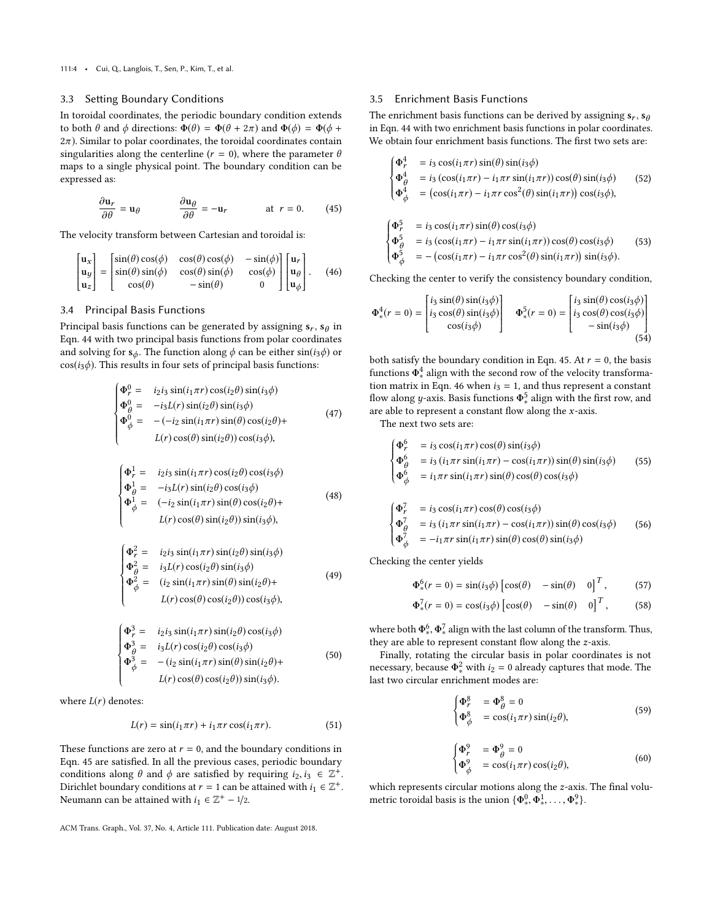111:4 • Cui, Q., Langlois, T., Sen, P., Kim, T., et al.

## 3.3 Setting Boundary Conditions

In toroidal coordinates, the periodic boundary condition extends to both  $\theta$  and  $\phi$  directions:  $\Phi(\theta) = \Phi(\theta + 2\pi)$  and  $\Phi(\phi) = \Phi(\phi + \theta)$  $2\pi$ ). Similar to polar coordinates, the toroidal coordinates contain singularities along the centerline ( $r = 0$ ), where the parameter  $\theta$ maps to a single physical point. The boundary condition can be expressed as:

$$
\frac{\partial \mathbf{u}_r}{\partial \theta} = \mathbf{u}_\theta \qquad \qquad \frac{\partial \mathbf{u}_\theta}{\partial \theta} = -\mathbf{u}_r \qquad \qquad \text{at } r = 0. \tag{45}
$$

The velocity transform between Cartesian and toroidal is:

<span id="page-3-1"></span>
$$
\begin{bmatrix} \mathbf{u}_{x} \\ \mathbf{u}_{y} \\ \mathbf{u}_{z} \end{bmatrix} = \begin{bmatrix} \sin(\theta)\cos(\phi) & \cos(\theta)\cos(\phi) & -\sin(\phi) \\ \sin(\theta)\sin(\phi) & \cos(\theta)\sin(\phi) & \cos(\phi) \\ \cos(\theta) & -\sin(\theta) & 0 \end{bmatrix} \begin{bmatrix} \mathbf{u}_{r} \\ \mathbf{u}_{\theta} \\ \mathbf{u}_{\phi} \end{bmatrix}.
$$
 (46)

## 3.4 Principal Basis Functions

Principal basis functions can be generated by assigning  $s_r$ ,  $s_\theta$  in Fan 44 with two principal basis functions from polar coordinates Eqn. [44](#page-2-3) with two principal basis functions from polar coordinates and solving for  $s_{\phi}$ . The function along  $\phi$  can be either sin( $i_3\phi$ ) or  $cos(i_3\phi)$ . This results in four sets of principal basis functions:

$$
\begin{cases}\n\Phi_p^0 = i_2 i_3 \sin(i_1 \pi r) \cos(i_2 \theta) \sin(i_3 \phi) \n\Phi_\theta^0 = -i_3 L(r) \sin(i_2 \theta) \sin(i_3 \phi) \n\Phi_\phi^0 = -(-i_2 \sin(i_1 \pi r) \sin(\theta) \cos(i_2 \theta) + \nL(r) \cos(\theta) \sin(i_2 \theta) \cos(i_3 \phi),\n\end{cases}
$$
\n(47)

$$
\begin{cases}\n\Phi_r^1 = i_2 i_3 \sin(i_1 \pi r) \cos(i_2 \theta) \cos(i_3 \phi) \n\Phi_\theta^1 = -i_3 L(r) \sin(i_2 \theta) \cos(i_3 \phi) \n\Phi_\phi^1 = (-i_2 \sin(i_1 \pi r) \sin(\theta) \cos(i_2 \theta) + \nL(r) \cos(\theta) \sin(i_2 \theta) \sin(i_3 \phi),\n\end{cases}
$$
\n(48)

$$
\begin{cases}\n\Phi_r^2 = i_2 i_3 \sin(i_1 \pi r) \sin(i_2 \theta) \sin(i_3 \phi) \n\Phi_\theta^2 = i_3 L(r) \cos(i_2 \theta) \sin(i_3 \phi) \n\Phi_\phi^2 = (i_2 \sin(i_1 \pi r) \sin(\theta) \sin(i_2 \theta) + \nL(r) \cos(\theta) \cos(i_2 \theta) \cos(i_3 \phi),\n\end{cases}
$$
\n(49)

$$
\begin{cases}\n\Phi_p^3 = i_2 i_3 \sin(i_1 \pi r) \sin(i_2 \theta) \cos(i_3 \phi) \n\Phi_\theta^3 = i_3 L(r) \cos(i_2 \theta) \cos(i_3 \phi) \n\Phi_\phi^3 = -(i_2 \sin(i_1 \pi r) \sin(\theta) \sin(i_2 \theta) + \nL(r) \cos(\theta) \cos(i_2 \theta)) \sin(i_3 \phi).\n\end{cases}
$$
\n(50)

where  $L(r)$  denotes:

J.

$$
L(r) = \sin(i_1 \pi r) + i_1 \pi r \cos(i_1 \pi r). \tag{51}
$$

These functions are zero at  $r = 0$ , and the boundary conditions in Eqn. [45](#page-3-0) are satisfied. In all the previous cases, periodic boundary conditions along  $\theta$  and  $\phi$  are satisfied by requiring  $i_2, i_3 \in \mathbb{Z}^+$ .<br>Dirichlet boundary conditions at  $r = 1$  can be attained with  $i_r \in \mathbb{Z}^+$ . Dirichlet boundary conditions at  $r = 1$  can be attained with  $i_1 \in \mathbb{Z}^+$ .<br>Neumann can be attained with  $i_1 \in \mathbb{Z}^+ - 1/2$ . Neumann can be attained with  $i_1 \in \mathbb{Z}^+ - 1/2$ .

ACM Trans. Graph., Vol. 37, No. 4, Article 111. Publication date: August 2018.

## 3.5 Enrichment Basis Functions

The enrichment basis functions can be derived by assigning  $s_r$ ,  $s_\theta$ in Eqn. [44](#page-2-3) with two enrichment basis functions in polar coordinates. We obtain four enrichment basis functions. The first two sets are:

$$
\begin{cases}\n\Phi_t^4 &= i_3 \cos(i_1 \pi r) \sin(\theta) \sin(i_3 \phi) \\
\Phi_\theta^4 &= i_3 \left( \cos(i_1 \pi r) - i_1 \pi r \sin(i_1 \pi r) \right) \cos(\theta) \sin(i_3 \phi) \\
\Phi_\phi^4 &= \left( \cos(i_1 \pi r) - i_1 \pi r \cos^2(\theta) \sin(i_1 \pi r) \right) \cos(i_3 \phi),\n\end{cases}
$$
\n(52)

<span id="page-3-0"></span>
$$
\begin{cases}\n\Phi_{r}^{5} = i_{3} \cos(i_{1} \pi r) \sin(\theta) \cos(i_{3} \phi) \\
\Phi_{\theta}^{5} = i_{3} \left(\cos(i_{1} \pi r) - i_{1} \pi r \sin(i_{1} \pi r)\right) \cos(\theta) \cos(i_{3} \phi) \\
\Phi_{\phi}^{5} = -\left(\cos(i_{1} \pi r) - i_{1} \pi r \cos^{2}(\theta) \sin(i_{1} \pi r)\right) \sin(i_{3} \phi).\n\end{cases}
$$
\n(53)

Checking the center to verify the consistency boundary condition,

$$
\Phi_{*}^{4}(r=0) = \begin{bmatrix} i_{3}\sin(\theta)\sin(i_{3}\phi) \\ i_{3}\cos(\theta)\sin(i_{3}\phi) \\ \cos(i_{3}\phi) \end{bmatrix} \quad \Phi_{*}^{5}(r=0) = \begin{bmatrix} i_{3}\sin(\theta)\cos(i_{3}\phi) \\ i_{3}\cos(\theta)\cos(i_{3}\phi) \\ -\sin(i_{3}\phi) \\ \end{bmatrix}
$$
(54)

both satisfy the boundary condition in Eqn. [45.](#page-3-0) At  $r = 0$ , the basis functions  $\Phi^4_*$  align with the second row of the velocity transforma-tion matrix in Eqn. [46](#page-3-1) when  $i_3 = 1$ , and thus represent a constant flow along y-axis. Basis functions  $\Phi_{\tilde{x}}^5$  align with the first row, and are able to represent a constant flow along the x-axis are able to represent a constant flow along the x-axis.

The next two sets are:

$$
\begin{cases}\n\Phi_{\rho}^{6} = i_{3} \cos(i_{1} \pi r) \cos(\theta) \sin(i_{3} \phi) \\
\Phi_{\theta}^{6} = i_{3} (i_{1} \pi r \sin(i_{1} \pi r) - \cos(i_{1} \pi r)) \sin(\theta) \sin(i_{3} \phi) \\
\Phi_{\phi}^{6} = i_{1} \pi r \sin(i_{1} \pi r) \sin(\theta) \cos(\theta) \cos(i_{3} \phi)\n\end{cases}
$$
\n(55)

$$
\begin{cases}\n\Phi_T^7 &= i_3 \cos(i_1 \pi r) \cos(\theta) \cos(i_3 \phi) \\
\Phi_\theta^7 &= i_3 (i_1 \pi r \sin(i_1 \pi r) - \cos(i_1 \pi r)) \sin(\theta) \cos(i_3 \phi) \\
\Phi_\phi^7 &= -i_1 \pi r \sin(i_1 \pi r) \sin(\theta) \cos(\theta) \sin(i_3 \phi)\n\end{cases}
$$
\n(56)

Checking the center yields

$$
\Phi_*^6(r=0) = \sin(i_3\phi) \begin{bmatrix} \cos(\theta) & -\sin(\theta) & 0 \end{bmatrix}^T, \tag{57}
$$

$$
\Phi_*^7(r=0) = \cos(i_3\phi) \begin{bmatrix} \cos(\theta) & -\sin(\theta) & 0 \end{bmatrix}^T, \quad (58)
$$

where both  $\Phi_{\ast}^6$ ,  $\Phi_{\ast}^7$  align with the last column of the transform. Thus,<br>they are able to represent constant flow along the z-axis they are able to represent constant flow along the z-axis.

Finally, rotating the circular basis in polar coordinates is not necessary, because  $\Phi^2_*$  with  $i_2 = 0$  already captures that mode. The last two circular enrichment modes are:

$$
\begin{cases}\n\Phi_r^8 = \Phi_\theta^8 = 0\\ \Phi_\phi^8 = \cos(i_1 \pi r) \sin(i_2 \theta),\n\end{cases} \tag{59}
$$

$$
\begin{cases}\n\Phi_p^9 = \Phi_\theta^9 = 0\\
\Phi_\phi^9 = \cos(i_1 \pi r) \cos(i_2 \theta),\n\end{cases}
$$
\n(60)

which represents circular motions along the z-axis. The final volumetric toroidal basis is the union  $\{\Phi^0_*, \Phi^1_*, \ldots, \Phi^9_*\}.$ 

 $\overline{\phantom{a}}$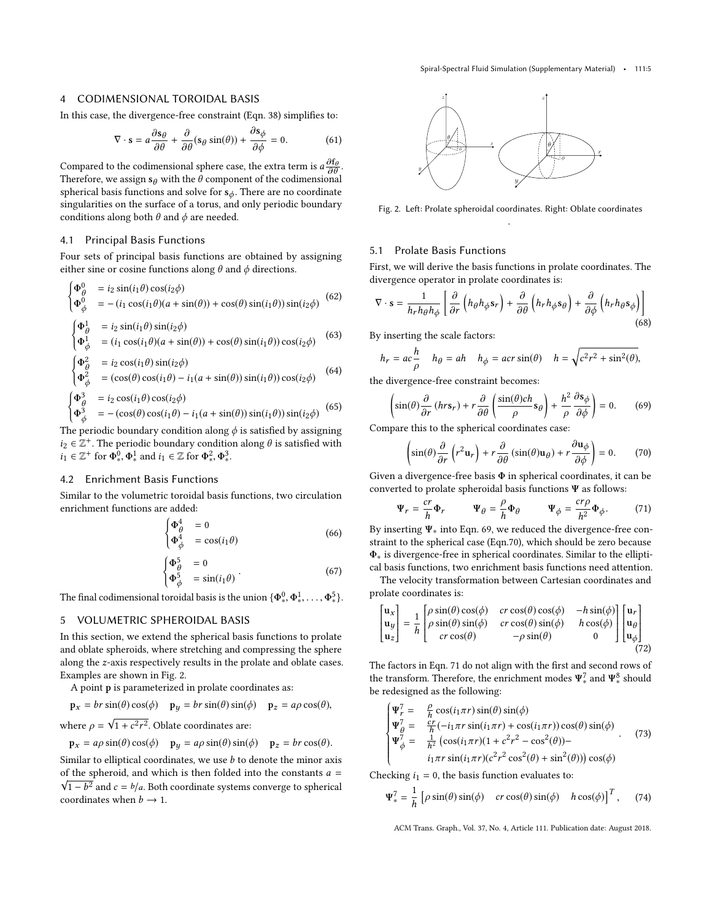## 4 CODIMENSIONAL TOROIDAL BASIS

In this case, the divergence-free constraint (Eqn. [38\)](#page-2-1) simplifies to:

$$
\nabla \cdot \mathbf{s} = a \frac{\partial \mathbf{s}_{\theta}}{\partial \theta} + \frac{\partial}{\partial \theta} (\mathbf{s}_{\theta} \sin(\theta)) + \frac{\partial \mathbf{s}_{\phi}}{\partial \phi} = 0.
$$
 (61)

Compared to the codimensional sphere case, the extra term is  $a \frac{\partial f_{\theta}}{\partial \theta}$ <br>Therefore we assign  $\xi_{\theta}$  with the  $\theta$  component of the codimension Therefore, we assign  $\mathbf{s}_{\theta}$  with the  $\theta$  component of the codimensional spherical basis functions and solve for  $\mathbf{s}_{\ell}$ . There are no coordinate . spherical basis functions and solve for  $s_{\phi}$ . There are no coordinate singularities on the surface of a torus, and only periodic boundary conditions along both  $\theta$  and  $\phi$  are needed.

#### 4.1 Principal Basis Functions

Four sets of principal basis functions are obtained by assigning either sine or cosine functions along  $\theta$  and  $\phi$  directions.

$$
\begin{cases}\n\Phi_{\theta}^{0} = i_2 \sin(i_1 \theta) \cos(i_2 \phi) \\
\Phi_{\phi}^{0} = -(i_1 \cos(i_1 \theta)(a + \sin(\theta)) + \cos(\theta) \sin(i_1 \theta)) \sin(i_2 \phi)\n\end{cases}
$$
\n(62)

$$
\begin{cases}\n\Phi_{\theta}^{1} = i_2 \sin(i_1 \theta) \sin(i_2 \phi) \\
\Phi_{\theta}^{1} = (i_1 \cos(i_1 \theta)(a + \sin(\theta)) + \cos(\theta) \sin(i_1 \theta)) \cos(i_2 \phi)\n\end{cases}
$$
(63)

$$
\begin{cases}\n\Phi_{\phi}^{1} = (i_1 \cos(i_1 \theta)(a + \sin(\theta)) + \cos(\theta)\sin(i_1 \theta))\cos(i_2 \phi) \\
\Phi_{\theta}^{2} = i_2 \cos(i_1 \theta)\sin(i_2 \phi) \\
\Phi_{\theta}^{2} = (\cos(\theta)\cos(i_1 \theta) - i_1(a + \sin(\theta))\sin(i_1 \theta))\cos(i_2 \phi)\n\end{cases}
$$
(64)

$$
\begin{cases} \Phi_{\phi}^2 = (\cos(\theta)\cos(i_1\theta) - i_1(a + \sin(\theta))\sin(i_1\theta))\cos(i_2\phi) \end{cases}
$$
\n
$$
\begin{cases} \Phi_{\phi}^3 = i_2 \cos(i_1\theta)\cos(i_2\phi) \end{cases}
$$

$$
\begin{cases}\n\mathbf{v}_{\theta} = -i_2 \cos(i_1 \theta) \cos(i_2 \theta) \\
\Phi_{\phi}^3 = -(\cos(\theta) \cos(i_1 \theta) - i_1 (a + \sin(\theta)) \sin(i_1 \theta)) \sin(i_2 \phi)\n\end{cases}
$$
\n(65)

The periodic boundary condition along  $\phi$  is satisfied by assigning<br>is  $\epsilon \mathbb{Z}^+$ . The periodic boundary condition along  $\theta$  is satisfied with  $i_2 \in \mathbb{Z}^+$ . The periodic boundary condition along  $\theta$  is satisfied with  $i_1 \in \mathbb{Z}^+$  for  $\mathbf{0}^0$   $\mathbf{0}^1$  and  $i_1 \in \mathbb{Z}$  for  $\mathbf{0}^2$   $\mathbf{0}^3$  $i_1 \in \mathbb{Z}^+$  for  $\Phi^0_*$ ,  $\Phi^1_*$  and  $i_1 \in \mathbb{Z}$  for  $\Phi^2_*$ ,  $\Phi^3_*$ .

## 4.2 Enrichment Basis Functions

Similar to the volumetric toroidal basis functions, two circulation enrichment functions are added:

$$
\begin{cases}\n\Phi_{\theta}^{4} = 0\\ \Phi_{\phi}^{4} = \cos(i_{1}\theta)\n\end{cases}
$$
\n(66)

$$
\begin{cases}\n\Phi_{\theta}^{5} = 0 \\
\Phi_{\phi}^{5} = \sin(i_{1}\theta)\n\end{cases}
$$
\n(67)

The final codimensional toroidal basis is the union  $\{\Phi^0_*, \Phi^1_*, \ldots, \Phi^5_*\}.$ 

## 5 VOLUMETRIC SPHEROIDAL BASIS

In this section, we extend the spherical basis functions to prolate and oblate spheroids, where stretching and compressing the sphere along the z-axis respectively results in the prolate and oblate cases. Examples are shown in Fig. [2.](#page-4-0)

A point p is parameterized in prolate coordinates as:

$$
\mathbf{p}_x = br \sin(\theta) \cos(\phi) \quad \mathbf{p}_y = br \sin(\theta) \sin(\phi) \quad \mathbf{p}_z = a\rho \cos(\theta),
$$

where  $\rho = \sqrt{1 + c^2}$ 2 . Oblate coordinates are:

$$
\mathbf{p}_x = a\rho \sin(\theta) \cos(\phi)
$$
  $\mathbf{p}_y = a\rho \sin(\theta) \sin(\phi)$   $\mathbf{p}_z = br \cos(\theta)$ .

Similar to elliptical coordinates, we use *b* to denote the minor axis<br>of the spheroid, and which is then folded into the constants  $a =$ of the spheroid, and which is then folded into the constants  $a =$  $1 - b^2$  and  $c = b/a$ . Both coordinate systems converge to spherical pordinates when  $b \rightarrow 1$ coordinates when  $b \rightarrow 1$ .

<span id="page-4-0"></span>

Fig. 2. Left: Prolate spheroidal coordinates. Right: Oblate coordinates .

#### 5.1 Prolate Basis Functions

First, we will derive the basis functions in prolate coordinates. The divergence operator in prolate coordinates is:

<span id="page-4-5"></span>
$$
\nabla \cdot \mathbf{s} = \frac{1}{h_r h_\theta h_\phi} \left[ \frac{\partial}{\partial r} \left( h_\theta h_\phi \mathbf{s}_r \right) + \frac{\partial}{\partial \theta} \left( h_r h_\phi \mathbf{s}_\theta \right) + \frac{\partial}{\partial \phi} \left( h_r h_\theta \mathbf{s}_\phi \right) \right]
$$
(68)

By inserting the scale factors:

$$
h_r = ac \frac{h}{\rho}
$$
  $h_\theta = ah$   $h_\phi = acr \sin(\theta)$   $h = \sqrt{c^2r^2 + \sin^2(\theta)}$ ,

ρ the divergence-free constraint becomes:

<span id="page-4-1"></span>
$$
\left(\sin(\theta)\frac{\partial}{\partial r}\left(hrs_r\right) + r\frac{\partial}{\partial \theta}\left(\frac{\sin(\theta)ch}{\rho}s_{\theta}\right) + \frac{h^2}{\rho}\frac{\partial s_{\phi}}{\partial \phi}\right) = 0. \tag{69}
$$

∂r ∂θ ρ ρ Compare this to the spherical coordinates case:

<span id="page-4-3"></span><span id="page-4-2"></span>
$$
\left(\sin(\theta)\frac{\partial}{\partial r}\left(r^2\mathbf{u}_r\right) + r\frac{\partial}{\partial \theta}\left(\sin(\theta)\mathbf{u}_\theta\right) + r\frac{\partial\mathbf{u}_\phi}{\partial \phi}\right) = 0. \tag{70}
$$

∂r ∂θ ∂ϕ Given a divergence-free basis Φ in spherical coordinates, it can be converted to prolate spheroidal basis functions  $\Psi$  as follows:

$$
\Psi_r = \frac{cr}{h} \Phi_r \qquad \Psi_\theta = \frac{\rho}{h} \Phi_\theta \qquad \Psi_\phi = \frac{cr\rho}{h^2} \Phi_\phi. \qquad (71)
$$

h h h By inserting Ψ<sup>∗</sup> into Eqn. [69,](#page-4-1) we reduced the divergence-free constraint to the spherical case (Eqn[.70\)](#page-4-2), which should be zero because Φ<sup>∗</sup> is divergence-free in spherical coordinates. Similar to the elliptical basis functions, two enrichment basis functions need attention.

The velocity transformation between Cartesian coordinates and prolate coordinates is:

<span id="page-4-4"></span>
$$
\begin{bmatrix} \mathbf{u}_x \\ \mathbf{u}_y \\ \mathbf{u}_z \end{bmatrix} = \frac{1}{h} \begin{bmatrix} \rho \sin(\theta) \cos(\phi) & cr \cos(\theta) \cos(\phi) & -h \sin(\phi) \\ \rho \sin(\theta) \sin(\phi) & cr \cos(\theta) \sin(\phi) & h \cos(\phi) \\ cr \cos(\theta) & -\rho \sin(\theta) & 0 \end{bmatrix} \begin{bmatrix} \mathbf{u}_r \\ \mathbf{u}_\theta \\ \mathbf{u}_\phi \end{bmatrix}
$$
(72)

The factors in Eqn. [71](#page-4-3) do not align with the first and second rows of the transform. Therefore, the enrichment modes  $\Psi^7_*$  and  $\Psi^8_*$  should be redesigned as the following:

$$
\begin{cases}\n\Psi_r^7 = \frac{\rho}{h} \cos(i_1 \pi r) \sin(\theta) \sin(\phi) \\
\Psi_\theta^7 = \frac{c_r}{h} (-i_1 \pi r \sin(i_1 \pi r) + \cos(i_1 \pi r)) \cos(\theta) \sin(\phi) \\
\Psi_\phi^7 = \frac{1}{h^2} \left( \cos(i_1 \pi r) (1 + c^2 r^2 - \cos^2(\theta)) - i_1 \pi r \sin(i_1 \pi r) (c^2 r^2 \cos^2(\theta) + \sin^2(\theta)) \right) \cos(\phi)\n\end{cases} (73)
$$

Checking  $i_1 = 0$ , the basis function evaluates to:

$$
\Psi_{*}^{7} = \frac{1}{h} \left[ \rho \sin(\theta) \sin(\phi) \quad cr \cos(\theta) \sin(\phi) \quad h \cos(\phi) \right]^{T}, \quad (74)
$$

ACM Trans. Graph., Vol. 37, No. 4, Article 111. Publication date: August 2018.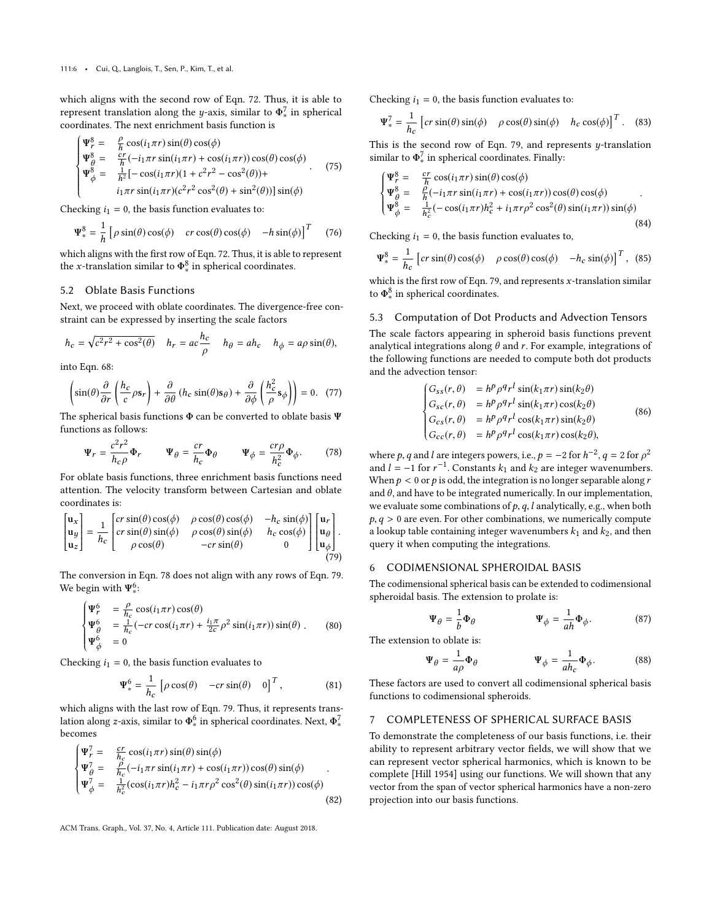which aligns with the second row of Eqn. [72.](#page-4-4) Thus, it is able to represent translation along the y-axis, similar to  $\Phi_*^7$  in spherical coordinates. The next enrichment basis function is coordinates. The next enrichment basis function is

$$
\begin{cases}\n\Psi_{\theta}^{8} = \frac{\rho}{h} \cos(i_{1}\pi r) \sin(\theta) \cos(\phi) \\
\Psi_{\theta}^{8} = \frac{c_{r}}{h} (-i_{1}\pi r \sin(i_{1}\pi r) + \cos(i_{1}\pi r)) \cos(\theta) \cos(\phi) \\
\Psi_{\phi}^{8} = \frac{1}{h^{2}} [-\cos(i_{1}\pi r)(1 + c^{2}r^{2} - \cos^{2}(\theta)) + i_{1}\pi r \sin(i_{1}\pi r)(c^{2}r^{2} \cos^{2}(\theta) + \sin^{2}(\theta))] \sin(\phi)\n\end{cases}
$$
\n(75)

Checking  $i_1 = 0$ , the basis function evaluates to:

$$
\Psi_{*}^{8} = \frac{1}{h} \left[ \rho \sin(\theta) \cos(\phi) \quad cr \cos(\theta) \cos(\phi) \quad -h \sin(\phi) \right]^{T} \quad (76)
$$

h which aligns with the first row of Eqn. [72.](#page-4-4) Thus, it is able to represent the *x*-translation similar to  $\Phi^8_*$  in spherical coordinates.

## 5.2 Oblate Basis Functions

Next, we proceed with oblate coordinates. The divergence-free constraint can be expressed by inserting the scale factors

$$
h_c = \sqrt{c^2 r^2 + \cos^2(\theta)} \quad h_r = ac \frac{h_c}{\rho} \quad h_\theta = ah_c \quad h_\phi = a\rho \sin(\theta),
$$

into Eqn. [68:](#page-4-5)

$$
\left(\sin(\theta)\frac{\partial}{\partial r}\left(\frac{h_c}{c}\rho s_r\right) + \frac{\partial}{\partial \theta}\left(h_c\sin(\theta)s_\theta\right) + \frac{\partial}{\partial \phi}\left(\frac{h_c^2}{\rho}s_\phi\right)\right) = 0. \quad (77)
$$

 $\overline{\mathbf{a}}$  The spherical basis functions  $\Phi$  can be converted to oblate basis Ψ functions as follows:

$$
\Psi_r = \frac{c^2 r^2}{h_c \rho} \Phi_r \qquad \Psi_\theta = \frac{cr}{h_c} \Phi_\theta \qquad \Psi_\phi = \frac{cr\rho}{h_c^2} \Phi_\phi. \tag{78}
$$

 $\frac{hc}{c}$  For oblate basis functions, three enrichment basis functions need attention. The velocity transform between Cartesian and oblate coordinates is:

<span id="page-5-1"></span>
$$
\begin{bmatrix} \mathbf{u}_x \\ \mathbf{u}_y \\ \mathbf{u}_z \end{bmatrix} = \frac{1}{h_c} \begin{bmatrix} cr\sin(\theta)\cos(\phi) & \rho\cos(\theta)\cos(\phi) & -h_c\sin(\phi) \\ cr\sin(\theta)\sin(\phi) & \rho\cos(\theta)\sin(\phi) & h_c\cos(\phi) \\ \rho\cos(\theta) & -cr\sin(\theta) & 0 \end{bmatrix} \begin{bmatrix} \mathbf{u}_r \\ \mathbf{u}_\theta \\ \mathbf{u}_\phi \end{bmatrix} .
$$
 (79)

The conversion in Eqn. [78](#page-5-0) does not align with any rows of Eqn. [79.](#page-5-1) We begin with  $\Psi^6_*$ :

$$
\begin{cases}\n\Psi_{r}^{6} = \frac{\rho}{h_{c}} \cos(i_{1}\pi r) \cos(\theta) \\
\Psi_{\theta}^{6} = \frac{1}{h_{c}} (-cr \cos(i_{1}\pi r) + \frac{i_{1}\pi}{2c} \rho^{2} \sin(i_{1}\pi r)) \sin(\theta) \\
\Psi_{\phi}^{6} = 0\n\end{cases}
$$
\n(80)

Checking  $i_1 = 0$ , the basis function evaluates to

$$
\Psi_{*}^{6} = \frac{1}{h_c} \begin{bmatrix} \rho \cos(\theta) & -cr \sin(\theta) & 0 \end{bmatrix}^T, \tag{81}
$$

which aligns with the last row of Eqn. [79.](#page-5-1) Thus, it represents translation along z-axis, similar to  $\Phi^6_*$  in spherical coordinates. Next,  $\Phi^7_*$ becomes

$$
\begin{cases}\n\Psi_r^7 = \frac{c_r}{h_c} \cos(i_1 \pi r) \sin(\theta) \sin(\phi) \\
\Psi_\theta^7 = \frac{\rho}{h_c} (-i_1 \pi r \sin(i_1 \pi r) + \cos(i_1 \pi r)) \cos(\theta) \sin(\phi) \\
\Psi_\phi^7 = \frac{1}{h_c^2} (\cos(i_1 \pi r) h_c^2 - i_1 \pi r \rho^2 \cos^2(\theta) \sin(i_1 \pi r)) \cos(\phi)\n\end{cases} \tag{82}
$$

Checking  $i_1 = 0$ , the basis function evaluates to:

$$
\Psi_*^7 = \frac{1}{h_c} \left[ cr \sin(\theta) \sin(\phi) \quad \rho \cos(\theta) \sin(\phi) \quad h_c \cos(\phi) \right]^T.
$$
 (83)

This is the second row of Eqn. [79,](#page-5-1) and represents y-translation<br>similar to  $\Phi^7$  in spherical coordinates. Finally: similar to  $\Phi^7_*$  in spherical coordinates. Finally:

$$
\begin{cases}\n\Psi_p^8 = \frac{c_F}{h} \cos(i_1 \pi r) \sin(\theta) \cos(\phi) \\
\Psi_\theta^8 = \frac{\rho}{h} (-i_1 \pi r \sin(i_1 \pi r) + \cos(i_1 \pi r)) \cos(\theta) \cos(\phi) \\
\Psi_\phi^8 = \frac{1}{h_c^2} (-\cos(i_1 \pi r) h_c^2 + i_1 \pi r \rho^2 \cos^2(\theta) \sin(i_1 \pi r)) \sin(\phi)\n\end{cases} \tag{84}
$$

Checking  $i_1 = 0$ , the basis function evaluates to,

$$
\Psi_{*}^{8} = \frac{1}{h_{c}} \left[ cr \sin(\theta) \cos(\phi) \quad \rho \cos(\theta) \cos(\phi) \quad -h_{c} \sin(\phi) \right]^{T}, \tag{85}
$$

which is the first row of Eqn. [79,](#page-5-1) and represents x-translation similar<br>to  $\Phi^8$  in spherical coordinates to  $\Phi^8_*$  in spherical coordinates.

## 5.3 Computation of Dot Products and Advection Tensors

The scale factors appearing in spheroid basis functions prevent analytical integrations along  $\theta$  and r. For example, integrations of the following functions are needed to compute both dot products and the advection tensor:

$$
\begin{cases}\nG_{ss}(r,\theta) &= h^p \rho^q r^l \sin(k_1 \pi r) \sin(k_2 \theta) \\
G_{sc}(r,\theta) &= h^p \rho^q r^l \sin(k_1 \pi r) \cos(k_2 \theta) \\
G_{cs}(r,\theta) &= h^p \rho^q r^l \cos(k_1 \pi r) \sin(k_2 \theta) \\
G_{cc}(r,\theta) &= h^p \rho^q r^l \cos(k_1 \pi r) \cos(k_2 \theta),\n\end{cases}
$$
\n(86)

<span id="page-5-0"></span>where p, q and l are integers powers, i.e.,  $p = -2$  for  $h^{-2}$ ,  $q = 2$  for  $\rho^2$ <br>and  $l = -1$  for  $r^{-1}$ . Constants k, and ke are integer wavenumbers and  $l = -1$  for  $r^{-1}$ . Constants  $k_1$  and  $k_2$  are integer wavenumbers.<br>When  $r \leq 0$  or n is odd, the integration is no longer separable along r. When  $p < 0$  or p is odd, the integration is no longer separable along r and  $\theta$ , and have to be integrated numerically. In our implementation, we evaluate some combinations of  $p$ ,  $q$ ,  $l$  analytically, e.g., when both  $p, q > 0$  are even. For other combinations, we numerically compute a lookup table containing integer wavenumbers  $k_1$  and  $k_2$ , and then query it when computing the integrations.

## 6 CODIMENSIONAL SPHEROIDAL BASIS

The codimensional spherical basis can be extended to codimensional spheroidal basis. The extension to prolate is:

$$
\theta = \frac{1}{b} \Phi_{\theta} \qquad \Psi_{\phi} = \frac{1}{ah} \Phi_{\phi}.
$$
 (87)

The extension to oblate is:

Ψ

$$
\Psi_{\theta} = \frac{1}{a\rho} \Phi_{\theta} \qquad \Psi_{\phi} = \frac{1}{ah_c} \Phi_{\phi}.
$$
 (88)

مبینی ہے۔<br>These factors are used to convert all codimensional spherical basis functions to codimensional spheroids.

## 7 COMPLETENESS OF SPHERICAL SURFACE BASIS

To demonstrate the completeness of our basis functions, i.e. their ability to represent arbitrary vector fields, we will show that we can represent vector spherical harmonics, which is known to be complete [\[Hill 1954\]](#page-7-2) using our functions. We will shown that any vector from the span of vector spherical harmonics have a non-zero projection into our basis functions.

ACM Trans. Graph., Vol. 37, No. 4, Article 111. Publication date: August 2018.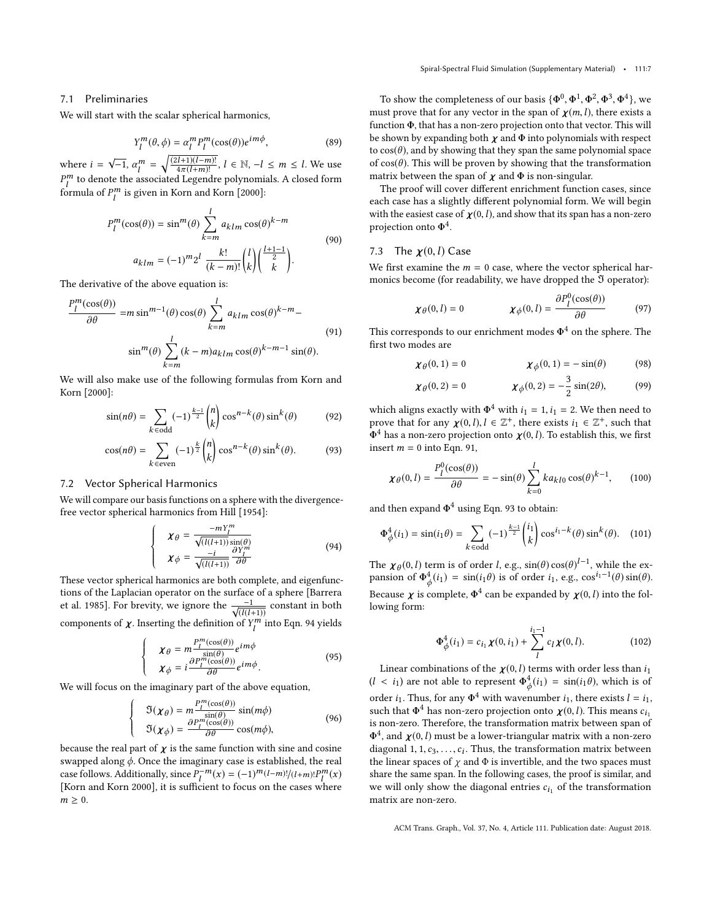## 7.1 Preliminaries

We will start with the scalar spherical harmonics,

$$
Y_l^m(\theta, \phi) = \alpha_l^m P_l^m(\cos(\theta)) e^{im\phi},\tag{89}
$$

where  $i = \sqrt{-1}$ ,  $\alpha_l^m$ <br>*pm* to denote the as  $=\sqrt{\frac{(2l+1)(l-m)!}{4\pi (l+m)!}}$ where  $i = \sqrt{-1}$ ,  $\alpha_l^m = \sqrt{\frac{(2l+1)(l-m)!}{4\pi(l+m)!}}$ ,  $l \in \mathbb{N}$ ,  $-l \leq m \leq l$ . We use  $l^n$  to denote the associated Legendre polynomials. A closed form formula of  $P_l^m$  is given in [Korn and Korn](#page-7-3) [\[2000\]](#page-7-3):

$$
P_l^m(\cos(\theta)) = \sin^m(\theta) \sum_{k=m}^l a_{klm} \cos(\theta)^{k-m}
$$
  

$$
a_{klm} = (-1)^m 2^l \frac{k!}{(k-m)!} {l \choose k}^{\frac{l+1-1}{2}}.
$$
 (90)

The derivative of the above equation is:

<span id="page-6-1"></span>
$$
\frac{P_l^m(\cos(\theta))}{\partial \theta} = m \sin^{m-1}(\theta) \cos(\theta) \sum_{k=m}^l a_{klm} \cos(\theta)^{k-m} -
$$
  

$$
\sin^m(\theta) \sum_{k=m}^l (k-m) a_{klm} \cos(\theta)^{k-m-1} \sin(\theta).
$$
 (91)

We will also make use of the following formulas from [Korn and](#page-7-3) [Korn](#page-7-3) [\[2000\]](#page-7-3):

$$
\sin(n\theta) = \sum_{k \in \text{odd}} (-1)^{\frac{k-1}{2}} \binom{n}{k} \cos^{n-k}(\theta) \sin^k(\theta) \tag{92}
$$

$$
\cos(n\theta) = \sum_{k \in \text{even}} (-1)^{\frac{k}{2}} \binom{n}{k} \cos^{n-k}(\theta) \sin^k(\theta). \tag{93}
$$

## 7.2 Vector Spherical Harmonics

Į  $\overline{\mathcal{L}}$ 

We will compare our basis functions on a sphere with the divergencefree vector spherical harmonics from [Hill](#page-7-2) [\[1954\]](#page-7-2):

<span id="page-6-0"></span>
$$
\begin{cases}\n\mathbf{\chi}_{\theta} = \frac{-mY_{l}^{m}}{\sqrt{(l(l+1))}\sin(\theta)} \\
\mathbf{\chi}_{\phi} = \frac{-i}{\sqrt{(l(l+1))}}\frac{\partial Y_{l}^{m}}{\partial \theta}\n\end{cases}
$$
\n(94)

 These vector spherical harmonics are both complete, and eigenfunctions of the Laplacian operator on the surface of a sphere [\[Barrera](#page-7-4) [et al.](#page-7-4) [1985\]](#page-7-4). For brevity, we ignore the  $\frac{-1}{\sqrt{t^{1/2}}}$  $\frac{-1}{(l(l+1))}$  constant in both<br>of  $V^m$  into Eqn. 04 violets components of  $\chi$ . Inserting the definition of  $Y_l^m$  into Eqn. [94](#page-6-0) yields

$$
\begin{cases}\n\chi_{\theta} = m \frac{P_{I}^{m}(\cos(\theta))}{\sin(\theta)} e^{im\phi} \\
\chi_{\phi} = i \frac{\partial P_{I}^{m}(\cos(\theta))}{\partial \theta} e^{im\phi}.\n\end{cases}
$$
\n(95)

We will focus on the imaginary part of the above equation,

$$
\mathfrak{I}(\boldsymbol{\chi}_{\theta}) = m \frac{P_{l}^{m}(\cos(\theta))}{\sin(\theta)} \sin(m\phi)
$$
  
\n
$$
\mathfrak{I}(\boldsymbol{\chi}_{\phi}) = \frac{\partial P_{l}^{m}(\cos(\theta))}{\partial \theta} \cos(m\phi),
$$
\n(96)

because the real part of  $\chi$  is the same function with sine and cosine<br>sympal along  $\phi$ . Once the imaginary case is established, the real swapped along  $\phi$ . Once the imaginary case is established, the real case follows. Additionally, since  $P_l^{-m}(x) = (-1)^m (l-m)!/(l+m)! P_l^m(x)$ <br>[Korn and Korn 2000] it is sufficient to focus on the opens where [\[Korn and Korn 2000\]](#page-7-3), it is sufficient to focus on the cases where  $m \geq 0$ .

To show the completeness of our basis  $\{\Phi^0, \Phi^1, \Phi^2, \Phi^3, \Phi^4\}$ , we get prove that for any vector in the span of  $\chi(m)$ , there exists a must prove that for any vector in the span of  $\chi(m, l)$ , there exists a function Φ, that has a non-zero projection onto that vector. This will be shown by expanding both  $\chi$  and  $\Phi$  into polynomials with respect to  $cos(\theta)$ , and by showing that they span the same polynomial space of  $cos(\theta)$ . This will be proven by showing that the transformation matrix between the span of  $\chi$  and  $\Phi$  is non-singular.

The proof will cover different enrichment function cases, since each case has a slightly different polynomial form. We will begin with the easiest case of  $\chi(0, l)$ , and show that its span has a non-zero projection onto  $\Phi^4.$ 

## 7.3 The  $\chi(0, l)$  Case

We first examine the  $m = 0$  case, where the vector spherical harmonics become (for readability, we have dropped the  $\mathfrak I$  operator):

$$
\chi_{\theta}(0,l) = 0 \qquad \qquad \chi_{\phi}(0,l) = \frac{\partial P_l^0(\cos(\theta))}{\partial \theta} \qquad (97)
$$

This corresponds to our enrichment modes  $\Phi^4$  on the sphere. The first two modes are

$$
\chi_{\theta}(0,1) = 0 \qquad \qquad \chi_{\phi}(0,1) = -\sin(\theta) \qquad (98)
$$

$$
\chi_{\theta}(0,2) = 0 \qquad \qquad \chi_{\phi}(0,2) = -\frac{3}{2}\sin(2\theta), \qquad (99)
$$

<span id="page-6-2"></span>which aligns exactly with  $\Phi^4$  with  $i_1 = 1$ ,  $i_1 = 2$ . We then need to prove that for any  $\chi(0, l)$   $l \in \mathbb{Z}^+$  there exists  $i_t \in \mathbb{Z}^+$  such that prove that for any  $\chi(0, l)$ ,  $l \in \mathbb{Z}^+$ , there exists  $i_1 \in \mathbb{Z}^+$ , such that  $\Phi^4$  has a non-zero projection onto  $\chi(0, l)$ . To establish this, we first  $\Phi^4$  has a non-zero projection onto  $\chi(0, l)$ . To establish this, we first<br>insert  $m = 0$  into Eqn. 91 insert  $m = 0$  into Eqn. [91,](#page-6-1)

$$
\chi_{\theta}(0,l) = \frac{P_l^0(\cos(\theta))}{\partial \theta} = -\sin(\theta) \sum_{k=0}^l k a_{kl0} \cos(\theta)^{k-1}, \qquad (100)
$$

and then expand  $\Phi^4$  using Eqn. [93](#page-6-2) to obtain:

$$
\Phi_{\phi}^{4}(i_{1}) = \sin(i_{1}\theta) = \sum_{k \in odd} (-1)^{\frac{k-1}{2}} {i_{1} \choose k} \cos^{i_{1} - k}(\theta) \sin^{k}(\theta). \quad (101)
$$

The  $\chi_{\theta}(0, l)$  term is of order l, e.g.,  $\sin(\theta) \cos(\theta)^{l-1}$ , while the ex-<br>pansion of  $\Phi^4(i) = \sin(i, \theta)$  is of order i. e.g.  $\cos^{i_1-1}(\theta) \sin(\theta)$ pansion of  $\Phi_{\phi}^4(i_1) = \sin(i_1 \theta)$  is of order  $i_1$ , e.g.,  $\cos^{i_1-1}(\theta) \sin(\theta)$ . Because  $\chi$  is complete,  $\Phi^4$  can be expanded by  $\chi(0, l)$  into the following form: lowing form:

$$
\Phi_{\phi}^{4}(i_{1}) = c_{i_{1}} \chi(0, i_{1}) + \sum_{l}^{i_{1}-1} c_{l} \chi(0, l). \qquad (102)
$$

Linear combinations of the  $\chi(0, l)$  terms with order less than  $i_1$ <br>  $\leq i_1$ ) are not able to represent  $\Phi^4(i_1) = \sin(i_1 \theta)$  which is of  $(l < i<sub>1</sub>)$  are not able to represent  $\Phi_{\phi}^4(i_1) = \sin(i_1\theta)$ , which is of order  $i_1$ . Thus, for any  $\Phi^4$  with wavenumber  $i_1$ , there exists  $l = i_1$ , such that  $\Phi^4$  has non-zero projection onto  $\chi(0, l)$ . This means  $c_1$ such that  $\Phi^4$  has non-zero projection onto  $\chi(0, l)$ . This means  $c_{i_1}$ <br>is non-zero. Therefore, the transformation matrix between span of is non-zero. Therefore, the transformation matrix between span of  $\Phi^4$ , and  $\chi(0, l)$  must be a lower-triangular matrix with a non-zero<br>diagonal 1.1  $\infty$  for Thus, the transformation matrix between diagonal  $1, 1, c_3, \ldots, c_i$ . Thus, the transformation matrix between the linear spaces of  $x$  and  $\Phi$  is invertible and the two spaces must the linear spaces of  $\chi$  and  $\Phi$  is invertible, and the two spaces must share the same span. In the following cases, the proof is similar, and we will only show the diagonal entries  $c_{i_1}$  of the transformation<br>matrix are non-zero. matrix are non-zero.

ACM Trans. Graph., Vol. 37, No. 4, Article 111. Publication date: August 2018.